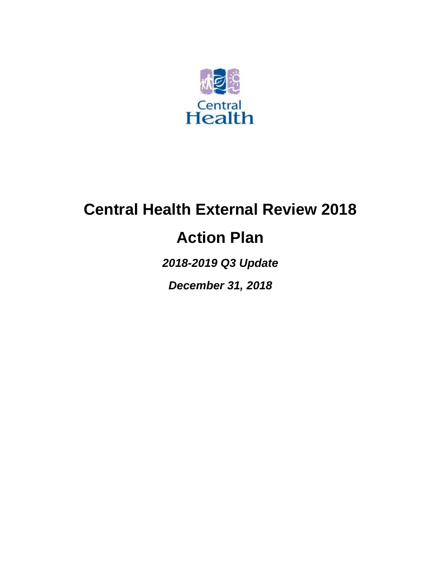

# **Central Health External Review 2018**

## **Action Plan**

*2018-2019 Q3 Update*

*December 31, 2018*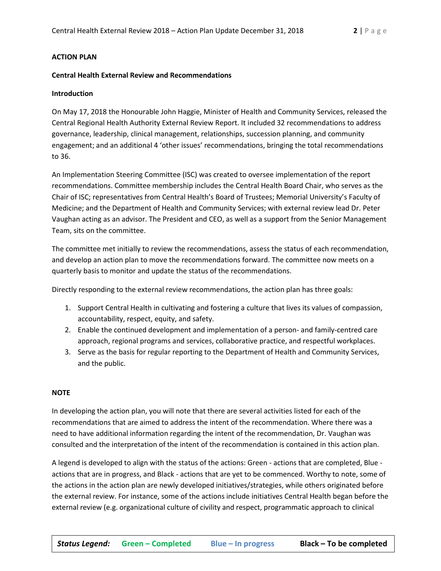#### **ACTION PLAN**

#### **Central Health External Review and Recommendations**

#### **Introduction**

On May 17, 2018 the Honourable John Haggie, Minister of Health and Community Services, released the Central Regional Health Authority External Review Report. It included 32 recommendations to address governance, leadership, clinical management, relationships, succession planning, and community engagement; and an additional 4 'other issues' recommendations, bringing the total recommendations to 36.

An Implementation Steering Committee (ISC) was created to oversee implementation of the report recommendations. Committee membership includes the Central Health Board Chair, who serves as the Chair of ISC; representatives from Central Health's Board of Trustees; Memorial University's Faculty of Medicine; and the Department of Health and Community Services; with external review lead Dr. Peter Vaughan acting as an advisor. The President and CEO, as well as a support from the Senior Management Team, sits on the committee.

The committee met initially to review the recommendations, assess the status of each recommendation, and develop an action plan to move the recommendations forward. The committee now meets on a quarterly basis to monitor and update the status of the recommendations.

Directly responding to the external review recommendations, the action plan has three goals:

- 1. Support Central Health in cultivating and fostering a culture that lives its values of compassion, accountability, respect, equity, and safety.
- 2. Enable the continued development and implementation of a person- and family-centred care approach, regional programs and services, collaborative practice, and respectful workplaces.
- 3. Serve as the basis for regular reporting to the Department of Health and Community Services, and the public.

#### **NOTE**

In developing the action plan, you will note that there are several activities listed for each of the recommendations that are aimed to address the intent of the recommendation. Where there was a need to have additional information regarding the intent of the recommendation, Dr. Vaughan was consulted and the interpretation of the intent of the recommendation is contained in this action plan.

A legend is developed to align with the status of the actions: Green - actions that are completed, Blue actions that are in progress, and Black - actions that are yet to be commenced. Worthy to note, some of the actions in the action plan are newly developed initiatives/strategies, while others originated before the external review. For instance, some of the actions include initiatives Central Health began before the external review (e.g. organizational culture of civility and respect, programmatic approach to clinical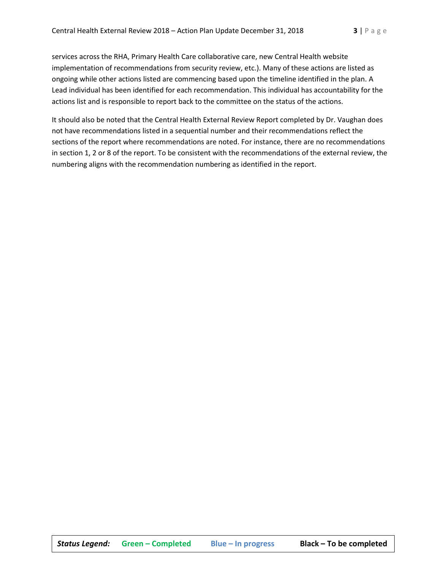services across the RHA, Primary Health Care collaborative care, new Central Health website implementation of recommendations from security review, etc.). Many of these actions are listed as ongoing while other actions listed are commencing based upon the timeline identified in the plan. A Lead individual has been identified for each recommendation. This individual has accountability for the actions list and is responsible to report back to the committee on the status of the actions.

It should also be noted that the Central Health External Review Report completed by Dr. Vaughan does not have recommendations listed in a sequential number and their recommendations reflect the sections of the report where recommendations are noted. For instance, there are no recommendations in section 1, 2 or 8 of the report. To be consistent with the recommendations of the external review, the numbering aligns with the recommendation numbering as identified in the report.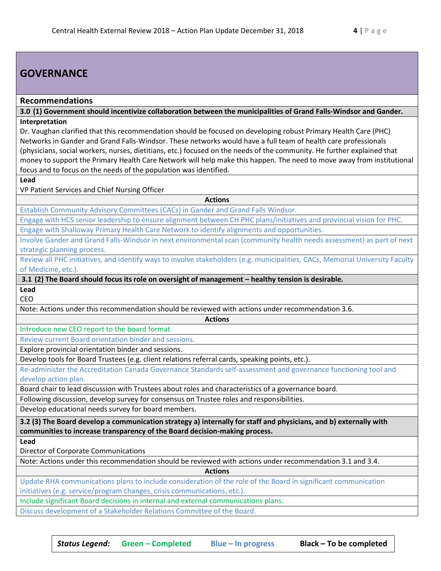## **GOVERNANCE**

#### **Recommendations**

**3.0 (1) Government should incentivize collaboration between the municipalities of Grand Falls-Windsor and Gander. Interpretation**

Dr. Vaughan clarified that this recommendation should be focused on developing robust Primary Health Care (PHC) Networks in Gander and Grand Falls-Windsor. These networks would have a full team of health care professionals (physicians, social workers, nurses, dietitians, etc.) focused on the needs of the community. He further explained that money to support the Primary Health Care Network will help make this happen. The need to move away from institutional focus and to focus on the needs of the population was identified.

**Lead**

VP Patient Services and Chief Nursing Officer

**Actions**

Establish Community Advisory Committees (CACs) in Gander and Grand Falls Windsor.

Engage with HCS senior leadership to ensure alignment between CH PHC plans/initiatives and provincial vision for PHC.

Engage with Shalloway Primary Health Care Network to identify alignments and opportunities.

Involve Gander and Grand Falls-Windsor in next environmental scan (community health needs assessment) as part of next strategic planning process.

Review all PHC initiatives, and identify ways to involve stakeholders (e.g. municipalities, CACs, Memorial University Faculty of Medicine, etc.).

**Actions**

**3.1 (2) The Board should focus its role on oversight of management – healthy tension is desirable.**

**Lead** CEO

Note: Actions under this recommendation should be reviewed with actions under recommendation 3.6.

Introduce new CEO report to the board format.

Review current Board orientation binder and sessions.

Explore provincial orientation binder and sessions.

Develop tools for Board Trustees (e.g. client relations referral cards, speaking points, etc.).

Re-administer the Accreditation Canada Governance Standards self-assessment and governance functioning tool and develop action plan.

Board chair to lead discussion with Trustees about roles and characteristics of a governance board.

Following discussion, develop survey for consensus on Trustee roles and responsibilities.

Develop educational needs survey for board members.

**3.2 (3) The Board develop a communication strategy a) internally for staff and physicians, and b) externally with communities to increase transparency of the Board decision-making process.**

**Lead**

Director of Corporate Communications

Note: Actions under this recommendation should be reviewed with actions under recommendation 3.1 and 3.4.

**Actions**

Update RHA communications plans to include consideration of the role of the Board in significant communication initiatives (e.g. service/program changes, crisis communications, etc.).

Include significant Board decisions in internal and external communications plans.

Discuss development of a Stakeholder Relations Committee of the Board.

*Status Legend:* **Green – Completed Blue – In progress Black – To be completed**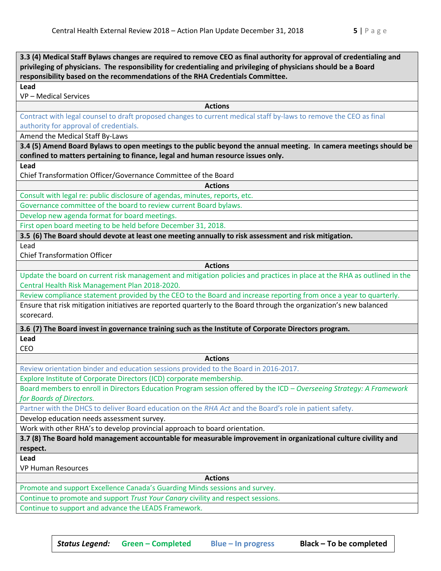| 3.3 (4) Medical Staff Bylaws changes are required to remove CEO as final authority for approval of credentialing and                |  |  |
|-------------------------------------------------------------------------------------------------------------------------------------|--|--|
| privileging of physicians. The responsibility for credentialing and privileging of physicians should be a Board                     |  |  |
| responsibility based on the recommendations of the RHA Credentials Committee.                                                       |  |  |
| Lead                                                                                                                                |  |  |
| VP - Medical Services                                                                                                               |  |  |
| <b>Actions</b><br>Contract with legal counsel to draft proposed changes to current medical staff by-laws to remove the CEO as final |  |  |
| authority for approval of credentials.                                                                                              |  |  |
| Amend the Medical Staff By-Laws                                                                                                     |  |  |
| 3.4 (5) Amend Board Bylaws to open meetings to the public beyond the annual meeting. In camera meetings should be                   |  |  |
| confined to matters pertaining to finance, legal and human resource issues only.                                                    |  |  |
| Lead                                                                                                                                |  |  |
| Chief Transformation Officer/Governance Committee of the Board                                                                      |  |  |
| <b>Actions</b>                                                                                                                      |  |  |
| Consult with legal re: public disclosure of agendas, minutes, reports, etc.                                                         |  |  |
| Governance committee of the board to review current Board bylaws.                                                                   |  |  |
| Develop new agenda format for board meetings.                                                                                       |  |  |
| First open board meeting to be held before December 31, 2018.                                                                       |  |  |
| 3.5 (6) The Board should devote at least one meeting annually to risk assessment and risk mitigation.                               |  |  |
| Lead                                                                                                                                |  |  |
| <b>Chief Transformation Officer</b>                                                                                                 |  |  |
| <b>Actions</b>                                                                                                                      |  |  |
| Update the board on current risk management and mitigation policies and practices in place at the RHA as outlined in the            |  |  |
| Central Health Risk Management Plan 2018-2020.                                                                                      |  |  |
| Review compliance statement provided by the CEO to the Board and increase reporting from once a year to quarterly.                  |  |  |
| Ensure that risk mitigation initiatives are reported quarterly to the Board through the organization's new balanced                 |  |  |
| scorecard.                                                                                                                          |  |  |
| 3.6 (7) The Board invest in governance training such as the Institute of Corporate Directors program.                               |  |  |
| Lead                                                                                                                                |  |  |
| CEO                                                                                                                                 |  |  |
| <b>Actions</b>                                                                                                                      |  |  |
| Review orientation binder and education sessions provided to the Board in 2016-2017.                                                |  |  |
| Explore Institute of Corporate Directors (ICD) corporate membership.                                                                |  |  |
| Board members to enroll in Directors Education Program session offered by the ICD - Overseeing Strategy: A Framework                |  |  |
| for Boards of Directors.                                                                                                            |  |  |
| Partner with the DHCS to deliver Board education on the RHA Act and the Board's role in patient safety.                             |  |  |
| Develop education needs assessment survey.                                                                                          |  |  |
| Work with other RHA's to develop provincial approach to board orientation.                                                          |  |  |
| 3.7 (8) The Board hold management accountable for measurable improvement in organizational culture civility and                     |  |  |
| respect.                                                                                                                            |  |  |
| Lead                                                                                                                                |  |  |
| <b>VP Human Resources</b>                                                                                                           |  |  |
| <b>Actions</b>                                                                                                                      |  |  |
| Promote and support Excellence Canada's Guarding Minds sessions and survey.                                                         |  |  |
| Continue to promote and support Trust Your Canary civility and respect sessions.                                                    |  |  |
| Continue to support and advance the LEADS Framework.                                                                                |  |  |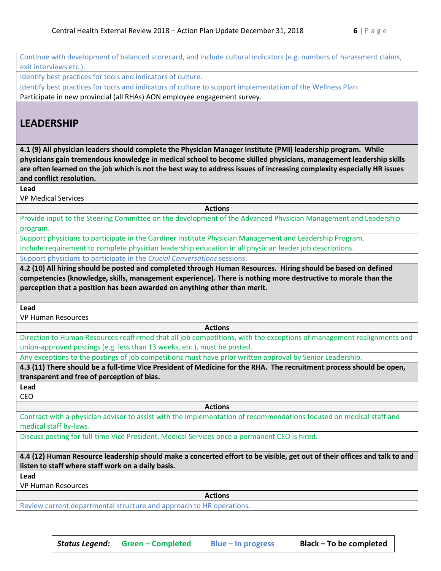Continue with development of balanced scorecard, and include cultural indicators (e.g. numbers of harassment claims, exit interviews etc.).

Identify best practices for tools and indicators of culture.

Identify best practices for tools and indicators of culture to support implementation of the Wellness Plan.

Participate in new provincial (all RHAs) AON employee engagement survey.

## **LEADERSHIP**

**4.1 (9) All physician leaders should complete the Physician Manager Institute (PMI) leadership program. While physicians gain tremendous knowledge in medical school to become skilled physicians, management leadership skills are often learned on the job which is not the best way to address issues of increasing complexity especially HR issues and conflict resolution.**

**Lead**

VP Medical Services

**Actions**

Provide input to the Steering Committee on the development of the Advanced Physician Management and Leadership program.

Support physicians to participate in the Gardiner Institute Physician Management and Leadership Program.

Include requirement to complete physician leadership education in all physician leader job descriptions.

Support physicians to participate in the *Crucial Conversations* sessions.

**4.2 (10) All hiring should be posted and completed through Human Resources. Hiring should be based on defined competencies (knowledge, skills, management experience). There is nothing more destructive to morale than the perception that a position has been awarded on anything other than merit.**

**Lead**

VP Human Resources

**Actions**

Direction to Human Resources reaffirmed that all job competitions, with the exceptions of management realignments and union-approved postings (e.g. less than 13 weeks, etc.), must be posted.

Any exceptions to the postings of job competitions must have prior written approval by Senior Leadership.

**4.3 (11) There should be a full-time Vice President of Medicine for the RHA. The recruitment process should be open, transparent and free of perception of bias.**

**Lead** CEO

**Actions**

Contract with a physician advisor to assist with the implementation of recommendations focused on medical staff and medical staff by-laws.

Discuss posting for full-time Vice President, Medical Services once a permanent CEO is hired.

**4.4 (12) Human Resource leadership should make a concerted effort to be visible, get out of their offices and talk to and listen to staff where staff work on a daily basis.**

**Lead**

VP Human Resources

**Actions**

Review current departmental structure and approach to HR operations.

*Status Legend:* **Green – Completed Blue – In progress Black – To be completed**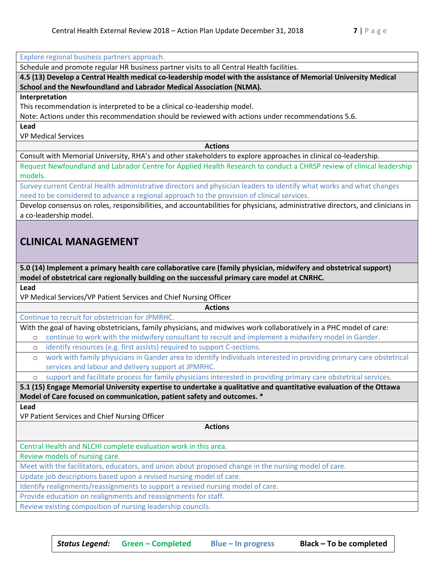Explore regional business partners approach.

Schedule and promote regular HR business partner visits to all Central Health facilities.

**4.5 (13) Develop a Central Health medical co-leadership model with the assistance of Memorial University Medical School and the Newfoundland and Labrador Medical Association (NLMA).**

#### **Interpretation**

This recommendation is interpreted to be a clinical co-leadership model.

Note: Actions under this recommendation should be reviewed with actions under recommendations 5.6.

**Lead**

VP Medical Services

**Actions**

Consult with Memorial University, RHA's and other stakeholders to explore approaches in clinical co-leadership.

Request Newfoundland and Labrador Centre for Applied Health Research to conduct a CHRSP review of clinical leadership models.

Survey current Central Health administrative directors and physician leaders to identify what works and what changes need to be considered to advance a regional approach to the provision of clinical services.

Develop consensus on roles, responsibilities, and accountabilities for physicians, administrative directors, and clinicians in a co-leadership model.

### **CLINICAL MANAGEMENT**

**5.0 (14) Implement a primary health care collaborative care (family physician, midwifery and obstetrical support) model of obstetrical care regionally building on the successful primary care model at CNRHC.**

**Lead**

VP Medical Services/VP Patient Services and Chief Nursing Officer

Continue to recruit for obstetrician for JPMRHC.

With the goal of having obstetricians, family physicians, and midwives work collaboratively in a PHC model of care:

- o continue to work with the midwifery consultant to recruit and implement a midwifery model in Gander.
- o identify resources (e.g. first assists) required to support C-sections.
	- o work with family physicians in Gander area to identify individuals interested in providing primary care obstetrical services and labour and delivery support at JPMRHC.

**Actions**

support and facilitate process for family physicians interested in providing primary care obstetrical services.

**5.1 (15) Engage Memorial University expertise to undertake a qualitative and quantitative evaluation of the Ottawa Model of Care focused on communication, patient safety and outcomes. \***

**Lead**

VP Patient Services and Chief Nursing Officer

**Actions**

Central Health and NLCHI complete evaluation work in this area.

Review models of nursing care.

Meet with the facilitators, educators, and union about proposed change in the nursing model of care.

Update job descriptions based upon a revised nursing model of care.

Identify realignments/reassignments to support a revised nursing model of care.

Provide education on realignments and reassignments for staff.

Review existing composition of nursing leadership councils.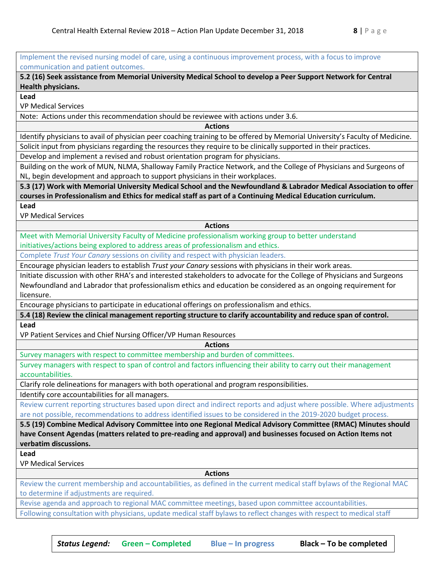Implement the revised nursing model of care, using a continuous improvement process, with a focus to improve communication and patient outcomes.

**5.2 (16) Seek assistance from Memorial University Medical School to develop a Peer Support Network for Central Health physicians.**

**Lead**

VP Medical Services

Note: Actions under this recommendation should be reviewee with actions under 3.6.

**Actions**

Identify physicians to avail of physician peer coaching training to be offered by Memorial University's Faculty of Medicine. Solicit input from physicians regarding the resources they require to be clinically supported in their practices.

Develop and implement a revised and robust orientation program for physicians.

Building on the work of MUN, NLMA, Shalloway Family Practice Network, and the College of Physicians and Surgeons of NL, begin development and approach to support physicians in their workplaces.

**5.3 (17) Work with Memorial University Medical School and the Newfoundland & Labrador Medical Association to offer courses in Professionalism and Ethics for medical staff as part of a Continuing Medical Education curriculum.**

**Lead**

VP Medical Services

**Actions**

Meet with Memorial University Faculty of Medicine professionalism working group to better understand initiatives/actions being explored to address areas of professionalism and ethics.

Complete *Trust Your Canary* sessions on civility and respect with physician leaders.

Encourage physician leaders to establish *Trust your Canary* sessions with physicians in their work areas.

Initiate discussion with other RHA's and interested stakeholders to advocate for the College of Physicians and Surgeons Newfoundland and Labrador that professionalism ethics and education be considered as an ongoing requirement for licensure.

Encourage physicians to participate in educational offerings on professionalism and ethics.

**5.4 (18) Review the clinical management reporting structure to clarify accountability and reduce span of control.**

**Lead**

VP Patient Services and Chief Nursing Officer/VP Human Resources

**Actions**

Survey managers with respect to committee membership and burden of committees.

Survey managers with respect to span of control and factors influencing their ability to carry out their management accountabilities.

Clarify role delineations for managers with both operational and program responsibilities.

Identify core accountabilities for all managers.

Review current reporting structures based upon direct and indirect reports and adjust where possible. Where adjustments are not possible, recommendations to address identified issues to be considered in the 2019-2020 budget process.

**5.5 (19) Combine Medical Advisory Committee into one Regional Medical Advisory Committee (RMAC) Minutes should have Consent Agendas (matters related to pre-reading and approval) and businesses focused on Action Items not verbatim discussions.**

**Lead**

VP Medical Services

**Actions**

Review the current membership and accountabilities, as defined in the current medical staff bylaws of the Regional MAC to determine if adjustments are required.

Revise agenda and approach to regional MAC committee meetings, based upon committee accountabilities.

Following consultation with physicians, update medical staff bylaws to reflect changes with respect to medical staff

*Status Legend:* **Green – Completed Blue – In progress Black – To be completed**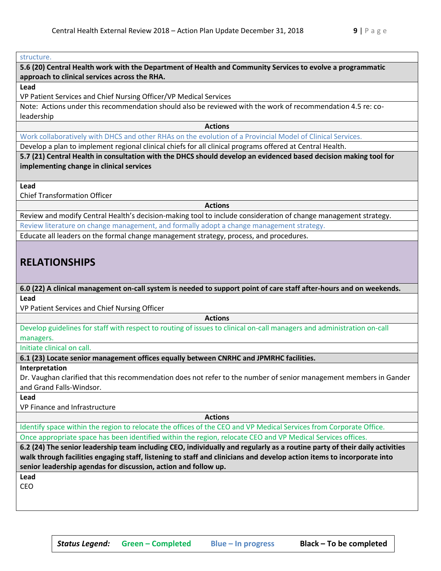#### structure.

**5.6 (20) Central Health work with the Department of Health and Community Services to evolve a programmatic approach to clinical services across the RHA.**

#### **Lead**

VP Patient Services and Chief Nursing Officer/VP Medical Services

Note: Actions under this recommendation should also be reviewed with the work of recommendation 4.5 re: coleadership

**Actions**

Work collaboratively with DHCS and other RHAs on the evolution of a Provincial Model of Clinical Services.

Develop a plan to implement regional clinical chiefs for all clinical programs offered at Central Health.

**5.7 (21) Central Health in consultation with the DHCS should develop an evidenced based decision making tool for implementing change in clinical services**

**Lead**

Chief Transformation Officer

**Actions**

Review and modify Central Health's decision-making tool to include consideration of change management strategy.

Review literature on change management, and formally adopt a change management strategy.

Educate all leaders on the formal change management strategy, process, and procedures.

## **RELATIONSHIPS**

**6.0 (22) A clinical management on-call system is needed to support point of care staff after-hours and on weekends. Lead**

VP Patient Services and Chief Nursing Officer

**Actions**

Develop guidelines for staff with respect to routing of issues to clinical on-call managers and administration on-call managers.

Initiate clinical on call.

**6.1 (23) Locate senior management offices equally between CNRHC and JPMRHC facilities.**

#### **Interpretation**

Dr. Vaughan clarified that this recommendation does not refer to the number of senior management members in Gander and Grand Falls-Windsor.

**Lead**

VP Finance and Infrastructure

**Actions**

Identify space within the region to relocate the offices of the CEO and VP Medical Services from Corporate Office. Once appropriate space has been identified within the region, relocate CEO and VP Medical Services offices.

**6.2 (24) The senior leadership team including CEO, individually and regularly as a routine party of their daily activities walk through facilities engaging staff, listening to staff and clinicians and develop action items to incorporate into senior leadership agendas for discussion, action and follow up.**

**Lead**

CEO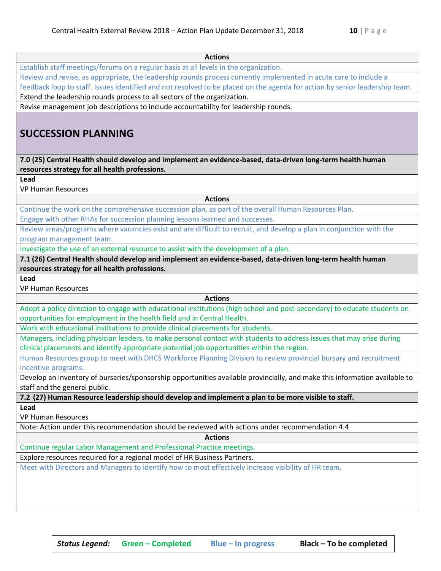| <b>Actions</b>                                                                                                                                                                                                       |  |  |
|----------------------------------------------------------------------------------------------------------------------------------------------------------------------------------------------------------------------|--|--|
| Establish staff meetings/forums on a regular basis at all levels in the organization.                                                                                                                                |  |  |
| Review and revise, as appropriate, the leadership rounds process currently implemented in acute care to include a                                                                                                    |  |  |
| feedback loop to staff. Issues identified and not resolved to be placed on the agenda for action by senior leadership team.<br>Extend the leadership rounds process to all sectors of the organization.              |  |  |
|                                                                                                                                                                                                                      |  |  |
| <b>SUCCESSION PLANNING</b>                                                                                                                                                                                           |  |  |
| 7.0 (25) Central Health should develop and implement an evidence-based, data-driven long-term health human<br>resources strategy for all health professions.                                                         |  |  |
| Lead                                                                                                                                                                                                                 |  |  |
| <b>VP Human Resources</b>                                                                                                                                                                                            |  |  |
| <b>Actions</b>                                                                                                                                                                                                       |  |  |
| Continue the work on the comprehensive succession plan, as part of the overall Human Resources Plan.                                                                                                                 |  |  |
| Engage with other RHAs for succession planning lessons learned and successes.                                                                                                                                        |  |  |
| Review areas/programs where vacancies exist and are difficult to recruit, and develop a plan in conjunction with the                                                                                                 |  |  |
| program management team.                                                                                                                                                                                             |  |  |
| Investigate the use of an external resource to assist with the development of a plan.                                                                                                                                |  |  |
| 7.1 (26) Central Health should develop and implement an evidence-based, data-driven long-term health human                                                                                                           |  |  |
| resources strategy for all health professions.                                                                                                                                                                       |  |  |
| Lead<br><b>VP Human Resources</b>                                                                                                                                                                                    |  |  |
| <b>Actions</b>                                                                                                                                                                                                       |  |  |
| Adopt a policy direction to engage with educational institutions (high school and post-secondary) to educate students on                                                                                             |  |  |
| opportunities for employment in the health field and in Central Health.                                                                                                                                              |  |  |
| Work with educational institutions to provide clinical placements for students.                                                                                                                                      |  |  |
| Managers, including physician leaders, to make personal contact with students to address issues that may arise during<br>clinical placements and identify appropriate potential job opportunities within the region. |  |  |
| Human Resources group to meet with DHCS Workforce Planning Division to review provincial bursary and recruitment                                                                                                     |  |  |
| incentive programs.                                                                                                                                                                                                  |  |  |
| Develop an inventory of bursaries/sponsorship opportunities available provincially, and make this information available to<br>staff and the general public.                                                          |  |  |
| 7.2 (27) Human Resource leadership should develop and implement a plan to be more visible to staff.                                                                                                                  |  |  |
| Lead                                                                                                                                                                                                                 |  |  |
| <b>VP Human Resources</b>                                                                                                                                                                                            |  |  |
| Note: Action under this recommendation should be reviewed with actions under recommendation 4.4                                                                                                                      |  |  |
| <b>Actions</b>                                                                                                                                                                                                       |  |  |
| Continue regular Labor Management and Professional Practice meetings.                                                                                                                                                |  |  |
| Explore resources required for a regional model of HR Business Partners.                                                                                                                                             |  |  |
| Meet with Directors and Managers to identify how to most effectively increase visibility of HR team.                                                                                                                 |  |  |
|                                                                                                                                                                                                                      |  |  |
|                                                                                                                                                                                                                      |  |  |
|                                                                                                                                                                                                                      |  |  |
|                                                                                                                                                                                                                      |  |  |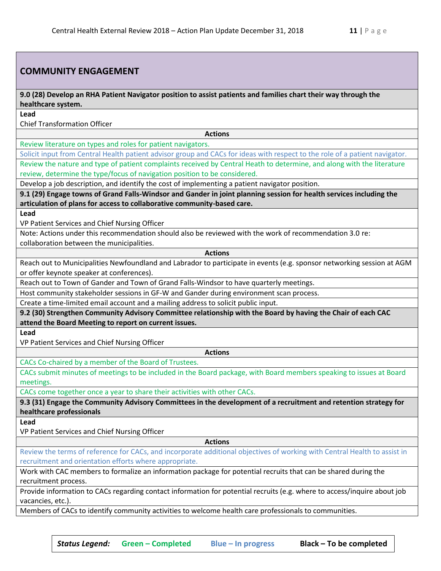#### **COMMUNITY ENGAGEMENT**

**9.0 (28) Develop an RHA Patient Navigator position to assist patients and families chart their way through the healthcare system.**

**Lead**

Chief Transformation Officer

**Actions**

Review literature on types and roles for patient navigators.

Solicit input from Central Health patient advisor group and CACs for ideas with respect to the role of a patient navigator. Review the nature and type of patient complaints received by Central Heath to determine, and along with the literature review, determine the type/focus of navigation position to be considered.

Develop a job description, and identify the cost of implementing a patient navigator position.

**9.1 (29) Engage towns of Grand Falls-Windsor and Gander in joint planning session for health services including the articulation of plans for access to collaborative community-based care.**

**Lead**

VP Patient Services and Chief Nursing Officer

Note: Actions under this recommendation should also be reviewed with the work of recommendation 3.0 re: collaboration between the municipalities.

**Actions**

Reach out to Municipalities Newfoundland and Labrador to participate in events (e.g. sponsor networking session at AGM or offer keynote speaker at conferences).

Reach out to Town of Gander and Town of Grand Falls-Windsor to have quarterly meetings.

Host community stakeholder sessions in GF-W and Gander during environment scan process.

Create a time-limited email account and a mailing address to solicit public input.

**9.2 (30) Strengthen Community Advisory Committee relationship with the Board by having the Chair of each CAC attend the Board Meeting to report on current issues.**

**Lead**

VP Patient Services and Chief Nursing Officer

**Actions**

CACs Co-chaired by a member of the Board of Trustees.

CACs submit minutes of meetings to be included in the Board package, with Board members speaking to issues at Board meetings.

CACs come together once a year to share their activities with other CACs.

**9.3 (31) Engage the Community Advisory Committees in the development of a recruitment and retention strategy for healthcare professionals**

**Lead**

VP Patient Services and Chief Nursing Officer

**Actions**

Review the terms of reference for CACs, and incorporate additional objectives of working with Central Health to assist in recruitment and orientation efforts where appropriate.

Work with CAC members to formalize an information package for potential recruits that can be shared during the recruitment process.

Provide information to CACs regarding contact information for potential recruits (e.g. where to access/inquire about job vacancies, etc.).

Members of CACs to identify community activities to welcome health care professionals to communities.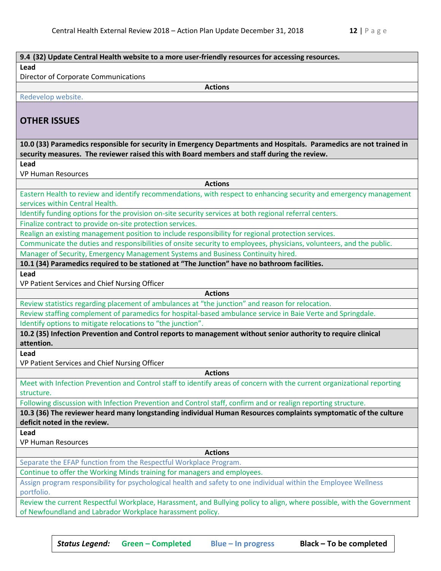|                                                                          | 9.4 (32) Update Central Health website to a more user-friendly resources for accessing resources.                                                                                                                  |  |
|--------------------------------------------------------------------------|--------------------------------------------------------------------------------------------------------------------------------------------------------------------------------------------------------------------|--|
| Lead                                                                     |                                                                                                                                                                                                                    |  |
| <b>Director of Corporate Communications</b>                              |                                                                                                                                                                                                                    |  |
|                                                                          | <b>Actions</b>                                                                                                                                                                                                     |  |
| Redevelop website.                                                       |                                                                                                                                                                                                                    |  |
| <b>OTHER ISSUES</b>                                                      |                                                                                                                                                                                                                    |  |
|                                                                          | 10.0 (33) Paramedics responsible for security in Emergency Departments and Hospitals. Paramedics are not trained in<br>security measures. The reviewer raised this with Board members and staff during the review. |  |
| Lead                                                                     |                                                                                                                                                                                                                    |  |
| <b>VP Human Resources</b>                                                |                                                                                                                                                                                                                    |  |
|                                                                          | <b>Actions</b>                                                                                                                                                                                                     |  |
|                                                                          | Eastern Health to review and identify recommendations, with respect to enhancing security and emergency management                                                                                                 |  |
| services within Central Health.                                          |                                                                                                                                                                                                                    |  |
|                                                                          | Identify funding options for the provision on-site security services at both regional referral centers.                                                                                                            |  |
| Finalize contract to provide on-site protection services.                |                                                                                                                                                                                                                    |  |
|                                                                          | Realign an existing management position to include responsibility for regional protection services.                                                                                                                |  |
|                                                                          | Communicate the duties and responsibilities of onsite security to employees, physicians, volunteers, and the public.                                                                                               |  |
|                                                                          | Manager of Security, Emergency Management Systems and Business Continuity hired.                                                                                                                                   |  |
|                                                                          | 10.1 (34) Paramedics required to be stationed at "The Junction" have no bathroom facilities.                                                                                                                       |  |
| Lead                                                                     |                                                                                                                                                                                                                    |  |
| VP Patient Services and Chief Nursing Officer                            |                                                                                                                                                                                                                    |  |
|                                                                          | <b>Actions</b>                                                                                                                                                                                                     |  |
|                                                                          | Review statistics regarding placement of ambulances at "the junction" and reason for relocation.                                                                                                                   |  |
|                                                                          | Review staffing complement of paramedics for hospital-based ambulance service in Baie Verte and Springdale.                                                                                                        |  |
| Identify options to mitigate relocations to "the junction".              | 10.2 (35) Infection Prevention and Control reports to management without senior authority to require clinical                                                                                                      |  |
| attention.                                                               |                                                                                                                                                                                                                    |  |
| Lead                                                                     |                                                                                                                                                                                                                    |  |
| VP Patient Services and Chief Nursing Officer                            |                                                                                                                                                                                                                    |  |
|                                                                          | <b>Actions</b>                                                                                                                                                                                                     |  |
|                                                                          | Meet with Infection Prevention and Control staff to identify areas of concern with the current organizational reporting                                                                                            |  |
| structure.                                                               |                                                                                                                                                                                                                    |  |
|                                                                          | Following discussion with Infection Prevention and Control staff, confirm and or realign reporting structure.                                                                                                      |  |
|                                                                          | 10.3 (36) The reviewer heard many longstanding individual Human Resources complaints symptomatic of the culture                                                                                                    |  |
| deficit noted in the review.                                             |                                                                                                                                                                                                                    |  |
| Lead<br><b>VP Human Resources</b>                                        |                                                                                                                                                                                                                    |  |
|                                                                          | <b>Actions</b>                                                                                                                                                                                                     |  |
| Separate the EFAP function from the Respectful Workplace Program.        |                                                                                                                                                                                                                    |  |
| Continue to offer the Working Minds training for managers and employees. |                                                                                                                                                                                                                    |  |
|                                                                          | Assign program responsibility for psychological health and safety to one individual within the Employee Wellness                                                                                                   |  |
| portfolio.                                                               |                                                                                                                                                                                                                    |  |
|                                                                          | Review the current Respectful Workplace, Harassment, and Bullying policy to align, where possible, with the Government                                                                                             |  |
| of Newfoundland and Labrador Workplace harassment policy.                |                                                                                                                                                                                                                    |  |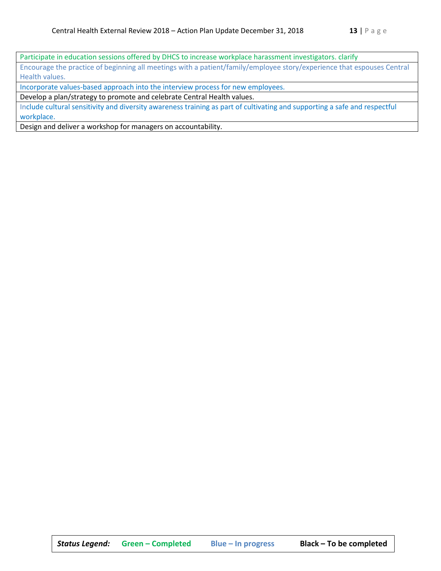Participate in education sessions offered by DHCS to increase workplace harassment investigators. clarify Encourage the practice of beginning all meetings with a patient/family/employee story/experience that espouses Central Health values.

Incorporate values-based approach into the interview process for new employees.

Develop a plan/strategy to promote and celebrate Central Health values.

Include cultural sensitivity and diversity awareness training as part of cultivating and supporting a safe and respectful workplace.

Design and deliver a workshop for managers on accountability.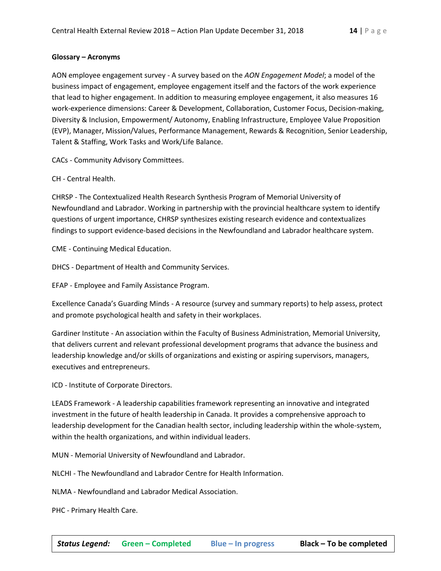#### **Glossary – Acronyms**

AON employee engagement survey - A survey based on the *AON Engagement Model*; a model of the business impact of engagement, employee engagement itself and the factors of the work experience that lead to higher engagement. In addition to measuring employee engagement, it also measures 16 work-experience dimensions: Career & Development, Collaboration, Customer Focus, Decision-making, Diversity & Inclusion, Empowerment/ Autonomy, Enabling Infrastructure, Employee Value Proposition (EVP), Manager, Mission/Values, Performance Management, Rewards & Recognition, Senior Leadership, Talent & Staffing, Work Tasks and Work/Life Balance.

CACs - Community Advisory Committees.

CH - Central Health.

CHRSP - The Contextualized Health Research Synthesis Program of Memorial University of Newfoundland and Labrador. Working in partnership with the provincial healthcare system to identify questions of urgent importance, CHRSP synthesizes existing research evidence and contextualizes findings to support evidence-based decisions in the Newfoundland and Labrador healthcare system.

CME - Continuing Medical Education.

DHCS - Department of Health and Community Services.

EFAP - Employee and Family Assistance Program.

Excellence Canada's Guarding Minds - A resource (survey and summary reports) to help assess, protect and promote psychological health and safety in their workplaces.

Gardiner Institute - An association within the Faculty of Business Administration, Memorial University, that delivers current and relevant professional development programs that advance the business and leadership knowledge and/or skills of organizations and existing or aspiring supervisors, managers, executives and entrepreneurs.

ICD - Institute of Corporate Directors.

LEADS Framework - A leadership capabilities framework representing an innovative and integrated investment in the future of health leadership in Canada. It provides a comprehensive approach to leadership development for the Canadian health sector, including leadership within the whole-system, within the health organizations, and within individual leaders.

MUN - Memorial University of Newfoundland and Labrador.

NLCHI - The Newfoundland and Labrador Centre for Health Information.

NLMA - Newfoundland and Labrador Medical Association.

PHC - Primary Health Care.